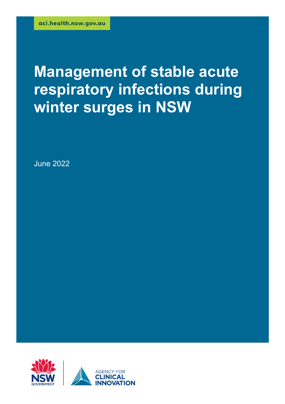# **Management of stable acute respiratory infections during winter surges in NSW**

June 2022

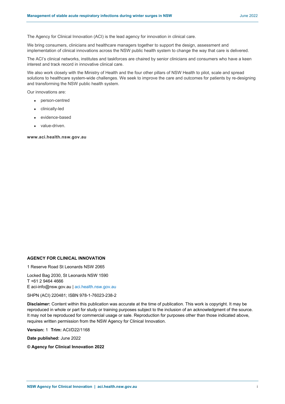The Agency for Clinical Innovation (ACI) is the lead agency for innovation in clinical care.

We bring consumers, clinicians and healthcare managers together to support the design, assessment and implementation of clinical innovations across the NSW public health system to change the way that care is delivered.

The ACI's clinical networks, institutes and taskforces are chaired by senior clinicians and consumers who have a keen interest and track record in innovative clinical care.

We also work closely with the Ministry of Health and the four other pillars of NSW Health to pilot, scale and spread solutions to healthcare system-wide challenges. We seek to improve the care and outcomes for patients by re-designing and transforming the NSW public health system.

Our innovations are:

- person-centred
- clinically-led
- evidence-based
- value-driven.

#### **www.aci.health.nsw.gov.au**

#### **AGENCY FOR CLINICAL INNOVATION**

1 Reserve Road St Leonards NSW 2065

Locked Bag 2030, St Leonards NSW 1590 T +61 2 9464 4666 E aci-info@nsw.gov.au | aci.health.nsw.gov.au

SHPN (ACI) 220481; ISBN 978-1-76023-238-2

**Disclaimer:** Content within this publication was accurate at the time of publication. This work is copyright. It may be reproduced in whole or part for study or training purposes subject to the inclusion of an acknowledgment of the source. It may not be reproduced for commercial usage or sale. Reproduction for purposes other than those indicated above, requires written permission from the NSW Agency for Clinical Innovation.

**Version:** 1 **Trim:** ACI/D22/1168

**Date published:** June 2022

**© Agency for Clinical Innovation 2022**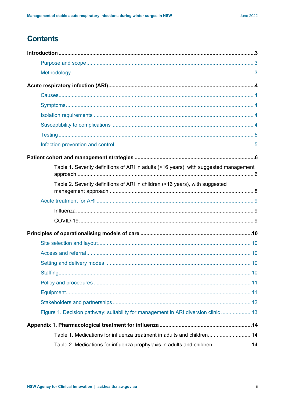# **Contents**

| Table 1. Severity definitions of ARI in adults (>16 years), with suggested management |  |
|---------------------------------------------------------------------------------------|--|
| Table 2. Severity definitions of ARI in children (<16 years), with suggested          |  |
|                                                                                       |  |
|                                                                                       |  |
|                                                                                       |  |
|                                                                                       |  |
|                                                                                       |  |
|                                                                                       |  |
|                                                                                       |  |
|                                                                                       |  |
|                                                                                       |  |
|                                                                                       |  |
|                                                                                       |  |
| Figure 1. Decision pathway: suitability for management in ARI diversion clinic  13    |  |
|                                                                                       |  |
| Table 1. Medications for influenza treatment in adults and children 14                |  |
| Table 2. Medications for influenza prophylaxis in adults and children 14              |  |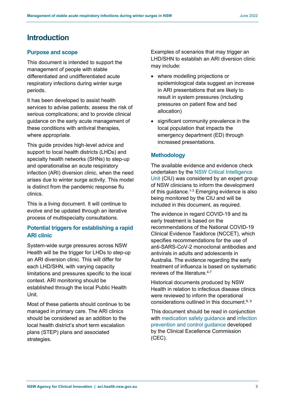# <span id="page-3-0"></span>**Introduction**

# <span id="page-3-1"></span>**Purpose and scope**

This document is intended to support the management of people with stable differentiated and undifferentiated acute respiratory infections during winter surge periods.

It has been developed to assist health services to advise patients; assess the risk of serious complications; and to provide clinical guidance on the early acute management of these conditions with antiviral therapies, where appropriate.

This guide provides high-level advice and support to local health districts (LHDs) and specialty health networks (SHNs) to step-up and operationalise an acute respiratory infection (ARI) diversion clinic, when the need arises due to winter surge activity. This model is distinct from the pandemic response flu clinics.

This is a living document. It will continue to evolve and be updated through an iterative process of multispecialty consultations.

# **Potential triggers for establishing a rapid ARI clinic**

System-wide surge pressures across NSW Health will be the trigger for LHDs to step-up an ARI diversion clinic. This will differ for each LHD/SHN, with varying capacity limitations and pressures specific to the local context. ARI monitoring should be established through the local Public Health Unit.

Most of these patients should continue to be managed in primary care. The ARI clinics should be considered as an addition to the local health district's short term escalation plans (STEP) plans and associated strategies.

Examples of scenarios that may trigger an LHD/SHN to establish an ARI diversion clinic may include:

- where modelling projections or epidemiological data suggest an increase in ARI presentations that are likely to result in system pressures (including pressures on patient flow and bed allocation)
- significant community prevalence in the local population that impacts the emergency department (ED) through increased presentations.

# <span id="page-3-2"></span>**Methodology**

The available evidence and evidence check undertaken by the [NSW Critical Intelligence](https://aci.health.nsw.gov.au/covid-19/critical-intelligence-unit)  [Unit](https://aci.health.nsw.gov.au/covid-19/critical-intelligence-unit) (CIU) was considered by an expert group of NSW clinicians to inform the development of this quidance.<sup>1-3</sup> Emerging evidence is also being monitored by the CIU and will be included in this document, as required.

The evidence in regard COVID-19 and its early treatment is based on the recommendations of the National COVID-19 Clinical Evidence Taskforce (NCCET), which specifies recommendations for the use of anti-SARS-CoV-2 monoclonal antibodies and antivirals in adults and adolescents in Australia. The evidence regarding the early treatment of influenza is based on systematic reviews of the literature. 4-7

Historical documents produced by NSW Health in relation to infectious disease clinics were reviewed to inform the operational considerations outlined in this document.<sup>8, 9</sup>

This document should be read in conjunction with [medication safety guidance](https://www.cec.health.nsw.gov.au/keep-patients-safe/medication-safety/medicine-updates) and infection [prevention and control guidance](https://www.cec.health.nsw.gov.au/keep-patients-safe/COVID-19) developed by the Clinical Excellence Commission (CEC).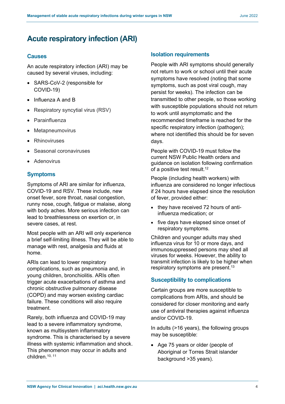# <span id="page-4-0"></span>**Acute respiratory infection (ARI)**

## <span id="page-4-1"></span>**Causes**

An acute respiratory infection (ARI) may be caused by several viruses, including:

- SARS-CoV-2 (responsible for COVID-19)
- Influenza A and B
- Respiratory syncytial virus (RSV)
- Parainfluenza
- Metapneumovirus
- Rhinoviruses
- Seasonal coronaviruses
- Adenovirus

# <span id="page-4-2"></span>**Symptoms**

Symptoms of ARI are similar for influenza, COVID-19 and RSV. These include, new onset fever, sore throat, nasal congestion, runny nose, cough, fatigue or malaise, along with body aches. More serious infection can lead to breathlessness on exertion or, in severe cases, at rest.

Most people with an ARI will only experience a brief self-limiting illness. They will be able to manage with rest, analgesia and fluids at home.

ARIs can lead to lower respiratory complications, such as pneumonia and, in young children, bronchiolitis. ARIs often trigger acute exacerbations of asthma and chronic obstructive pulmonary disease (COPD) and may worsen existing cardiac failure. These conditions will also require treatment.

Rarely, both influenza and COVID-19 may lead to a severe inflammatory syndrome, known as multisystem inflammatory syndrome. This is characterised by a severe illness with systemic inflammation and shock. This phenomenon may occur in adults and children. 10, 11

#### <span id="page-4-3"></span>**Isolation requirements**

People with ARI symptoms should generally not return to work or school until their acute symptoms have resolved (noting that some symptoms, such as post viral cough, may persist for weeks). The infection can be transmitted to other people, so those working with susceptible populations should not return to work until asymptomatic and the recommended timeframe is reached for the specific respiratory infection (pathogen); where not identified this should be for seven days.

People with COVID-19 must follow the current NSW Public Health orders and guidance on isolation following confirmation of a positive test result.<sup>12</sup>

People (including health workers) with influenza are considered no longer infectious if 24 hours have elapsed since the resolution of fever, provided either:

- they have received 72 hours of antiinfluenza medication; or
- five days have elapsed since onset of respiratory symptoms.

Children and younger adults may shed influenza virus for 10 or more days, and immunosuppressed persons may shed all viruses for weeks. However, the ability to transmit infection is likely to be higher when respiratory symptoms are present.<sup>13</sup>

## <span id="page-4-4"></span>**Susceptibility to complications**

Certain groups are more susceptible to complications from ARIs, and should be considered for closer monitoring and early use of antiviral therapies against influenza and/or COVID-19.

In adults (>16 years), the following groups may be susceptible:

• Age 75 years or older (people of Aboriginal or Torres Strait islander background >35 years).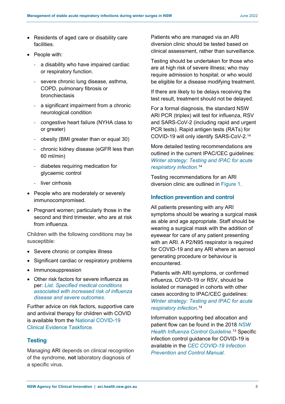- Residents of aged care or disability care facilities.
- People with:
	- a disability who have impaired cardiac or respiratory function.
	- severe chronic lung disease, asthma, COPD, pulmonary fibrosis or bronchiectasis
	- a significant impairment from a chronic neurological condition
	- congestive heart failure (NYHA class to or greater)
	- obesity (BMI greater than or equal 30)
	- chronic kidney disease (eGFR less than 60 ml/min)
	- diabetes requiring medication for glycaemic control
	- liver cirrhosis
- People who are moderately or severely immunocompromised.
- Pregnant women; particularly those in the second and third trimester, who are at risk from influenza.

Children with the following conditions may be susceptible:

- Severe chronic or complex illness
- Significant cardiac or respiratory problems
- Immunosuppression
- Other risk factors for severe influenza as per: *List. [Specified medical conditions](https://immunisationhandbook.health.gov.au/resources/tables/list-specified-medical-conditions-associated-with-increased-risk-of-influenza-disease-and-severe-outcomes)  [associated with increased risk of influenza](https://immunisationhandbook.health.gov.au/resources/tables/list-specified-medical-conditions-associated-with-increased-risk-of-influenza-disease-and-severe-outcomes)  [disease and severe outcomes](https://immunisationhandbook.health.gov.au/resources/tables/list-specified-medical-conditions-associated-with-increased-risk-of-influenza-disease-and-severe-outcomes)*.

Further advice on risk factors, supportive care and antiviral therapy for children with COVID is available from the [National COVID-19](https://covid19evidence.net.au/)  [Clinical Evidence Taskforce.](https://covid19evidence.net.au/)

# <span id="page-5-0"></span>**Testing**

Managing ARI depends on clinical recognition of the syndrome, **not** laboratory diagnosis of a specific virus.

Patients who are managed via an ARI diversion clinic should be tested based on clinical assessment, rather than surveillance.

Testing should be undertaken for those who are at high risk of severe illness; who may require admission to hospital; or who would be eligible for a disease modifying treatment.

If there are likely to be delays receiving the test result, treatment should not be delayed.

For a formal diagnosis, the standard NSW ARI PCR (triplex) will test for influenza, RSV and SARS-CoV-2 (including rapid and urgent PCR tests). Rapid antigen tests (RATs) for COVID-19 will only identify SARS-CoV-2.14

More detailed testing recommendations are outlined in the current IPAC/CEC guidelines: *[Winter strategy: Testing and IPAC for acute](https://www.cec.health.nsw.gov.au/__data/assets/pdf_file/0003/726213/winter-strategy-testing-and-ipac-for-acute-respiratory-infection.pdf)  [respiratory infection](https://www.cec.health.nsw.gov.au/__data/assets/pdf_file/0003/726213/winter-strategy-testing-and-ipac-for-acute-respiratory-infection.pdf)*. 14

Testing recommendations for an ARI diversion clinic are outlined in Figure 1.

# <span id="page-5-1"></span>**Infection prevention and control**

All patients presenting with any ARI symptoms should be wearing a surgical mask as able and age appropriate. Staff should be wearing a surgical mask with the addition of eyewear for care of any patient presenting with an ARI. A P2/N95 respirator is required for COVID-19 and any ARI where an aerosol generating procedure or behaviour is encountered.

Patients with ARI symptoms, or confirmed influenza, COVID-19 or RSV, should be isolated or managed in cohorts with other cases according to IPAC/CEC guidelines: *[Winter strategy: Testing and IPAC for acute](https://www.cec.health.nsw.gov.au/__data/assets/pdf_file/0003/726213/winter-strategy-testing-and-ipac-for-acute-respiratory-infection.pdf)  [respiratory infection](https://www.cec.health.nsw.gov.au/__data/assets/pdf_file/0003/726213/winter-strategy-testing-and-ipac-for-acute-respiratory-infection.pdf)*. 14

Information supporting bed allocation and patient flow can be found in the [2018](https://www.health.nsw.gov.au/Infectious/controlguideline/Pages/influenza.aspx#2) *NSW [Health Influenza Control Guideline](https://www.health.nsw.gov.au/Infectious/controlguideline/Pages/influenza.aspx#2)*. <sup>13</sup> Specific infection control guidance for COVID-19 is available in the *[CEC COVID-19 Infection](https://www.cec.health.nsw.gov.au/__data/assets/pdf_file/0018/644004/COVID-19-IPAC-manual.pdf)  [Prevention and Control Manual.](https://www.cec.health.nsw.gov.au/__data/assets/pdf_file/0018/644004/COVID-19-IPAC-manual.pdf)*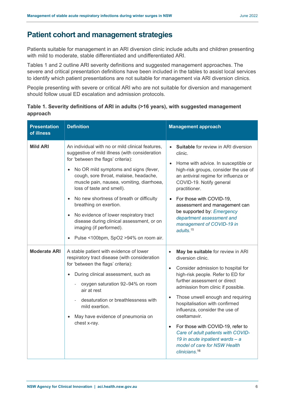# <span id="page-6-0"></span>**Patient cohort and management strategies**

Patients suitable for management in an ARI diversion clinic include adults and children presenting with mild to moderate, stable differentiated and undifferentiated ARI.

Tables 1 and 2 outline ARI severity definitions and suggested management approaches. The severe and critical presentation definitions have been included in the tables to assist local services to identify which patient presentations are not suitable for management via ARI diversion clinics.

People presenting with severe or critical ARI who are not suitable for diversion and management should follow usual ED escalation and admission protocols.

| <b>Presentation</b><br>of illness | <b>Definition</b>                                                                                                                                                                                                                                                                                                                                                                                                                                                                                                                                                | <b>Management approach</b>                                                                                                                                                                                                                                                                                                                                                                                                                                                                                                                                      |
|-----------------------------------|------------------------------------------------------------------------------------------------------------------------------------------------------------------------------------------------------------------------------------------------------------------------------------------------------------------------------------------------------------------------------------------------------------------------------------------------------------------------------------------------------------------------------------------------------------------|-----------------------------------------------------------------------------------------------------------------------------------------------------------------------------------------------------------------------------------------------------------------------------------------------------------------------------------------------------------------------------------------------------------------------------------------------------------------------------------------------------------------------------------------------------------------|
| <b>Mild ARI</b>                   | An individual with no or mild clinical features,<br>suggestive of mild illness (with consideration<br>for 'between the flags' criteria):<br>No OR mild symptoms and signs (fever,<br>cough, sore throat, malaise, headache,<br>muscle pain, nausea, vomiting, diarrhoea,<br>loss of taste and smell).<br>No new shortness of breath or difficulty<br>$\bullet$<br>breathing on exertion.<br>No evidence of lower respiratory tract<br>$\bullet$<br>disease during clinical assessment, or on<br>imaging (if performed).<br>Pulse <100bpm, SpO2 >94% on room air. | <b>Suitable</b> for review in ARI diversion<br>clinic.<br>Home with advice. In susceptible or<br>$\bullet$<br>high-risk groups, consider the use of<br>an antiviral regime for influenza or<br>COVID-19. Notify general<br>practitioner.<br>For those with COVID-19,<br>$\bullet$<br>assessment and management can<br>be supported by: Emergency<br>department assessment and<br>management of COVID-19 in<br>adults. $15$                                                                                                                                      |
| <b>Moderate ARI</b>               | A stable patient with evidence of lower<br>respiratory tract disease (with consideration<br>for 'between the flags' criteria):<br>During clinical assessment, such as<br>oxygen saturation 92-94% on room<br>air at rest<br>desaturation or breathlessness with<br>mild exertion.<br>May have evidence of pneumonia on<br>chest x-ray.                                                                                                                                                                                                                           | May be suitable for review in ARI<br>$\bullet$<br>diversion clinic.<br>Consider admission to hospital for<br>$\bullet$<br>high-risk people. Refer to ED for<br>further assessment or direct<br>admission from clinic if possible.<br>Those unwell enough and requiring<br>$\bullet$<br>hospitalisation with confirmed<br>influenza, consider the use of<br>oseltamavir.<br>For those with COVID-19, refer to<br>$\bullet$<br>Care of adult patients with COVID-<br>19 in acute inpatient wards - a<br>model of care for NSW Health<br>clinicians. <sup>16</sup> |

<span id="page-6-1"></span>

| Table 1. Severity definitions of ARI in adults (>16 years), with suggested management |  |
|---------------------------------------------------------------------------------------|--|
| approach                                                                              |  |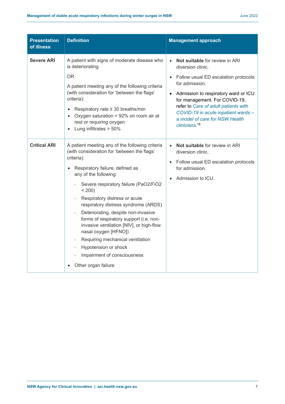| <b>Presentation</b><br>of illness | <b>Definition</b>                                                                                                                                                                                                                                                                                                                                                                                                                                                                                                                                                                                                        | <b>Management approach</b>                                                                                                                                                                                                                                                                                                                                                  |
|-----------------------------------|--------------------------------------------------------------------------------------------------------------------------------------------------------------------------------------------------------------------------------------------------------------------------------------------------------------------------------------------------------------------------------------------------------------------------------------------------------------------------------------------------------------------------------------------------------------------------------------------------------------------------|-----------------------------------------------------------------------------------------------------------------------------------------------------------------------------------------------------------------------------------------------------------------------------------------------------------------------------------------------------------------------------|
| <b>Severe ARI</b>                 | A patient with signs of moderate disease who<br>is deteriorating.<br><b>OR</b><br>A patient meeting any of the following criteria<br>(with consideration for 'between the flags'<br>criteria):<br>Respiratory rate $\geq$ 30 breaths/min<br>$\bullet$<br>Oxygen saturation < 92% on room air at<br>$\bullet$<br>rest or requiring oxygen<br>Lung infiltrates > 50%                                                                                                                                                                                                                                                       | Not suitable for review in ARI<br>$\bullet$<br>diversion clinic.<br>Follow usual ED escalation protocols<br>$\bullet$<br>for admission.<br>Admission to respiratory ward or ICU<br>$\bullet$<br>for management. For COVID-19,<br>refer to Care of adult patients with<br>COVID-19 in acute inpatient wards -<br>a model of care for NSW Health<br>clinicians. <sup>16</sup> |
| <b>Critical ARI</b>               | A patient meeting any of the following criteria<br>(with consideration for 'between the flags'<br>criteria):<br>Respiratory failure, defined as<br>$\bullet$<br>any of the following:<br>Severe respiratory failure (PaO2/FiO2<br>$< 200$ )<br>Respiratory distress or acute<br>respiratory distress syndrome (ARDS)<br>Deteriorating, despite non-invasive<br>$\overline{\phantom{a}}$<br>forms of respiratory support (i.e. non-<br>invasive ventilation [NIV], or high-flow<br>nasal oxygen [HFNO])<br>Requiring mechanical ventilation<br>Hypotension or shock<br>Impairment of consciousness<br>Other organ failure | <b>Not suitable for review in ARI</b><br>$\bullet$<br>diversion clinic.<br>Follow usual ED escalation protocols<br>$\bullet$<br>for admission.<br>Admission to ICU.<br>$\bullet$                                                                                                                                                                                            |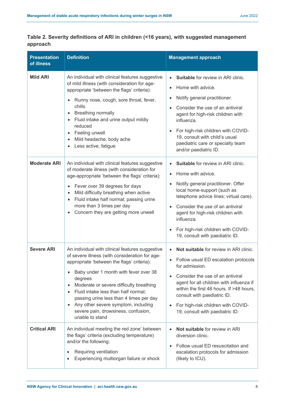| <b>Presentation</b><br>of illness | <b>Definition</b>                                                                                                                                                                                                                                                                                                                                                                                                                                           | <b>Management approach</b>                                                                                                                                                                                                                                                                                                                                                                                     |
|-----------------------------------|-------------------------------------------------------------------------------------------------------------------------------------------------------------------------------------------------------------------------------------------------------------------------------------------------------------------------------------------------------------------------------------------------------------------------------------------------------------|----------------------------------------------------------------------------------------------------------------------------------------------------------------------------------------------------------------------------------------------------------------------------------------------------------------------------------------------------------------------------------------------------------------|
| <b>Mild ARI</b>                   | An individual with clinical features suggestive<br>of mild illness (with consideration for age-<br>appropriate 'between the flags' criteria):<br>Runny nose, cough, sore throat, fever,<br>$\bullet$<br>chills<br><b>Breathing normally</b><br>Fluid intake and urine output mildly<br>reduced<br>Feeling unwell<br>Mild headache; body ache<br>Less active; fatigue<br>$\bullet$                                                                           | <b>Suitable for review in ARI clinic.</b><br>$\bullet$<br>Home with advice.<br>$\bullet$<br>Notify general practitioner.<br>$\bullet$<br>Consider the use of an antiviral<br>$\bullet$<br>agent for high-risk children with<br>influenza.<br>For high-risk children with COVID-<br>$\bullet$<br>19, consult with child's usual<br>paediatric care or specialty team<br>and/or paediatric ID.                   |
| <b>Moderate ARI</b>               | An individual with clinical features suggestive<br>of moderate illness (with consideration for<br>age-appropriate 'between the flags' criteria):<br>Fever over 39 degrees for days<br>$\bullet$<br>Mild difficulty breathing when active<br>Fluid intake half normal; passing urine<br>more than 3 times per day<br>Concern they are getting more unwell                                                                                                    | <b>Suitable for review in ARI clinic.</b><br>$\bullet$<br>Home with advice.<br>$\bullet$<br>Notify general practitioner. Offer<br>$\bullet$<br>local home-support (such as<br>telephone advice lines; virtual care).<br>Consider the use of an antiviral<br>$\bullet$<br>agent for high-risk children with<br>influenza.<br>For high-risk children with COVID-<br>$\bullet$<br>19, consult with paediatric ID. |
| <b>Severe ARI</b>                 | An individual with clinical features suggestive<br>of severe illness (with consideration for age-<br>appropriate 'between the flags' criteria):<br>Baby under 1 month with fever over 38<br>degrees<br>Moderate or severe difficulty breathing<br>$\bullet$<br>Fluid intake less than half normal;<br>$\bullet$<br>passing urine less than 4 times per day<br>Any other severe symptom, including<br>severe pain, drowsiness, confusion,<br>unable to stand | Not suitable for review in ARI clinic.<br>$\bullet$<br>Follow usual ED escalation protocols<br>$\bullet$<br>for admission.<br>Consider the use of an antiviral<br>$\bullet$<br>agent for all children with influenza if<br>within the first 48 hours. If >48 hours,<br>consult with paediatric ID.<br>For high-risk children with COVID-<br>$\bullet$<br>19, consult with paediatric ID.                       |
| <b>Critical ARI</b>               | An individual meeting the red zone' between<br>the flags' criteria (excluding temperature)<br>and/or the following:<br>Requiring ventilation<br>$\bullet$<br>Experiencing multiorgan failure or shock<br>$\bullet$                                                                                                                                                                                                                                          | Not suitable for review in ARI<br>$\bullet$<br>diversion clinic.<br>Follow usual ED resuscitation and<br>$\bullet$<br>escalation protocols for admission<br>(likely to ICU).                                                                                                                                                                                                                                   |

# <span id="page-8-0"></span>**Table 2. Severity definitions of ARI in children (<16 years), with suggested management approach**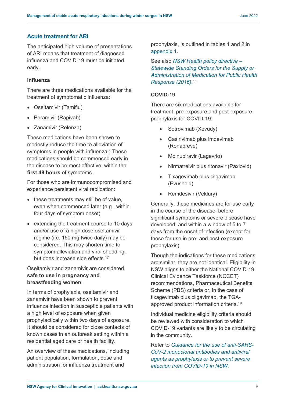#### <span id="page-9-0"></span>**Acute treatment for ARI**

The anticipated high volume of presentations of ARI means that treatment of diagnosed influenza and COVID-19 must be initiated early.

#### <span id="page-9-1"></span>**Influenza**

There are three medications available for the treatment of symptomatic influenza:

- Oseltamivir (Tamiflu)
- Peramivir (Rapivab)
- Zanamivir (Relenza)

These medications have been shown to modestly reduce the time to alleviation of symptoms in people with influenza.<sup>4</sup> These medications should be commenced early in the disease to be most effective; within the **first 48 hours** of symptoms.

For those who are immunocompromised and experience persistent viral replication:

- these treatments may still be of value, even when commenced later (e.g., within four days of symptom onset)
- extending the treatment course to 10 days and/or use of a high dose oseltamivir regime (i.e. 150 mg twice daily) may be considered. This may shorten time to symptom alleviation and viral shedding, but does increase side effects.<sup>17</sup>

Oseltamivir and zanamivir are considered **safe to use in pregnancy and breastfeeding women**.

In terms of prophylaxis, oseltamivir and zanamivir have been shown to prevent influenza infection in susceptible patients with a high level of exposure when given prophylactically within two days of exposure. It should be considered for close contacts of known cases in an outbreak setting within a residential aged care or health facility.

An overview of these medications, including patient population, formulation, dose and administration for influenza treatment and

prophylaxis, is outlined in tables 1 and 2 in [appendix 1](#page-14-3).

See also *[NSW Health policy](https://www1.health.nsw.gov.au/pds/ActivePDSDocuments/PD2016_035.pdf) directive – [Statewide Standing Orders](https://www1.health.nsw.gov.au/pds/ActivePDSDocuments/PD2016_035.pdf) for the Supply or [Administration of Medication for Public Health](https://www1.health.nsw.gov.au/pds/ActivePDSDocuments/PD2016_035.pdf)  [Response \(2016\)](https://www1.health.nsw.gov.au/pds/ActivePDSDocuments/PD2016_035.pdf)*. 18

#### <span id="page-9-2"></span>**COVID-19**

There are six medications available for treatment, pre-exposure and post-exposure prophylaxis for COVID-19:

- Sotrovimab (Xevudy)
- Casirivimab plus imdevimab (Ronapreve)
- Molnupiravir (Lagevrio)
- Nirmatrelvir plus ritonavir (Paxlovid)
- Tixagevimab plus cilgavimab (Evusheld)
- Remdesivir (Veklury)

Generally, these medicines are for use early in the course of the disease, before significant symptoms or severe disease have developed, and within a window of 5 to 7 days from the onset of infection (except for those for use in pre- and post-exposure prophylaxis).

Though the indications for these medications are similar, they are not identical. Eligibility in NSW aligns to either the National COVID-19 Clinical Evidence Taskforce (NCCET) recommendations, Pharmaceutical Benefits Scheme (PBS) criteria or, in the case of tixagevimab plus cilgavimab, the TGAapproved product information criteria. 19

Individual medicine eligibility criteria should be reviewed with consideration to which COVID-19 variants are likely to be circulating in the community.

Refer to *[Guidance for the use of anti-SARS-](https://aci.health.nsw.gov.au/__data/assets/pdf_file/0010/698005/ACI-Guidance-for-use-of-anti-SARS-CoV-2-monoclonal-antibodies-and-antiviral-agents.pdf)[CoV-2 monoclonal antibodies and antiviral](https://aci.health.nsw.gov.au/__data/assets/pdf_file/0010/698005/ACI-Guidance-for-use-of-anti-SARS-CoV-2-monoclonal-antibodies-and-antiviral-agents.pdf)  [agents as prophylaxis or to prevent severe](https://aci.health.nsw.gov.au/__data/assets/pdf_file/0010/698005/ACI-Guidance-for-use-of-anti-SARS-CoV-2-monoclonal-antibodies-and-antiviral-agents.pdf)  [infection from COVID-19 in NSW.](https://aci.health.nsw.gov.au/__data/assets/pdf_file/0010/698005/ACI-Guidance-for-use-of-anti-SARS-CoV-2-monoclonal-antibodies-and-antiviral-agents.pdf)*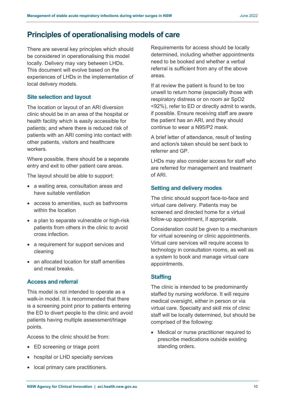# <span id="page-10-0"></span>**Principles of operationalising models of care**

There are several key principles which should be considered in operationalising this model locally. Delivery may vary between LHDs. This document will evolve based on the experiences of LHDs in the implementation of local delivery models.

## <span id="page-10-1"></span>**Site selection and layout**

The location or layout of an ARI diversion clinic should be in an area of the hospital or health facility which is easily accessible for patients; and where there is reduced risk of patients with an ARI coming into contact with other patients, visitors and healthcare workers.

Where possible, there should be a separate entry and exit to other patient care areas.

The layout should be able to support:

- a waiting area, consultation areas and have suitable ventilation
- access to amenities, such as bathrooms within the location
- a plan to separate vulnerable or high-risk patients from others in the clinic to avoid cross infection.
- a requirement for support services and cleaning
- an allocated location for staff amenities and meal breaks.

# <span id="page-10-2"></span>**Access and referral**

This model is not intended to operate as a walk-in model. It is recommended that there is a screening point prior to patients entering the ED to divert people to the clinic and avoid patients having multiple assessment/triage points.

Access to the clinic should be from:

- ED screening or triage point
- hospital or LHD specialty services
- local primary care practitioners.

Requirements for access should be locally determined, including whether appointments need to be booked and whether a verbal referral is sufficient from any of the above areas.

If at review the patient is found to be too unwell to return home (especially those with respiratory distress or on room air SpO2 <92%), refer to ED or directly admit to wards, if possible. Ensure receiving staff are aware the patient has an ARI, and they should continue to wear a N95/P2 mask.

A brief letter of attendance, result of testing and action/s taken should be sent back to referrer and GP.

LHDs may also consider access for staff who are referred for management and treatment of ARI.

#### <span id="page-10-3"></span>**Setting and delivery modes**

The clinic should support face-to-face and virtual care delivery. Patients may be screened and directed home for a virtual follow-up appointment, if appropriate.

Consideration could be given to a mechanism for virtual screening or clinic appointments. Virtual care services will require access to technology in consultation rooms, as well as a system to book and manage virtual care appointments.

## <span id="page-10-4"></span>**Staffing**

The clinic is intended to be predominantly staffed by nursing workforce. It will require medical oversight, either in person or via virtual care. Specialty and skill mix of clinic staff will be locally determined, but should be comprised of the following:

• Medical or nurse practitioner required to prescribe medications outside existing standing orders.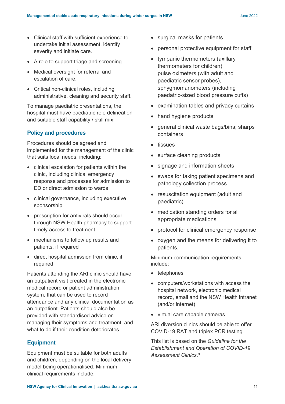- Clinical staff with sufficient experience to undertake initial assessment, identify severity and initiate care.
- A role to support triage and screening.
- Medical oversight for referral and escalation of care.
- Critical non-clinical roles, including administrative, cleaning and security staff.

To manage paediatric presentations, the hospital must have paediatric role delineation and suitable staff capability / skill mix.

## <span id="page-11-0"></span>**Policy and procedures**

Procedures should be agreed and implemented for the management of the clinic that suits local needs, including:

- clinical escalation for patients within the clinic, including clinical emergency response and processes for admission to ED or direct admission to wards
- clinical governance, including executive sponsorship
- prescription for antivirals should occur through NSW Health pharmacy to support timely access to treatment
- mechanisms to follow up results and patients, if required
- direct hospital admission from clinic, if required.

Patients attending the ARI clinic should have an outpatient visit created in the electronic medical record or patient administration system, that can be used to record attendance and any clinical documentation as an outpatient. Patients should also be provided with standardised advice on managing their symptoms and treatment, and what to do if their condition deteriorates

## <span id="page-11-1"></span>**Equipment**

Equipment must be suitable for both adults and children, depending on the local delivery model being operationalised. Minimum clinical requirements include:

- surgical masks for patients
- personal protective equipment for staff
- tympanic thermometers (axillary thermometers for children), pulse oximeters (with adult and paediatric sensor probes), sphygmomanometers (including paedatric-sized blood pressure cuffs)
- examination tables and privacy curtains
- hand hygiene products
- general clinical waste bags/bins; sharps containers
- tissues
- surface cleaning products
- signage and information sheets
- swabs for taking patient specimens and pathology collection process
- resuscitation equipment (adult and paediatric)
- medication standing orders for all appropriate medications
- protocol for clinical emergency response
- oxygen and the means for delivering it to patients.

Minimum communication requirements include:

- telephones
- computers/workstations with access the hospital network, electronic medical record, email and the NSW Health intranet (and/or internet)
- virtual care capable cameras.

ARI diversion clinics should be able to offer COVID-19 RAT and triplex PCR testing.

This list is based on the *Guideline for the Establishment and Operation of COVID-19 Assessment Clinics*. 9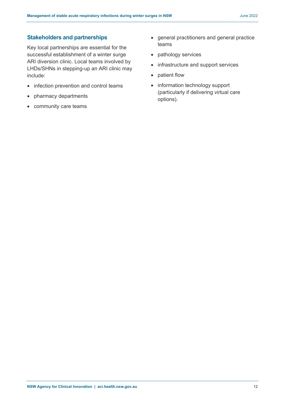## <span id="page-12-0"></span>**Stakeholders and partnerships**

Key local partnerships are essential for the successful establishment of a winter surge ARI diversion clinic. Local teams involved by LHDs/SHNs in stepping-up an ARI clinic may include:

- infection prevention and control teams
- pharmacy departments
- community care teams
- general practitioners and general practice teams
- pathology services
- infrastructure and support services
- patient flow
- information technology support (particularly if delivering virtual care options).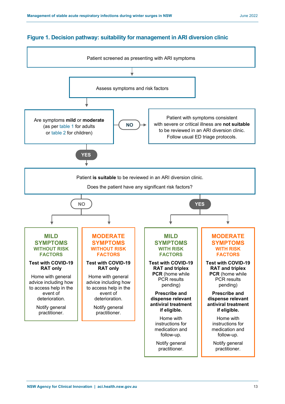# <span id="page-13-0"></span>**Figure 1. Decision pathway: suitability for management in ARI diversion clinic**

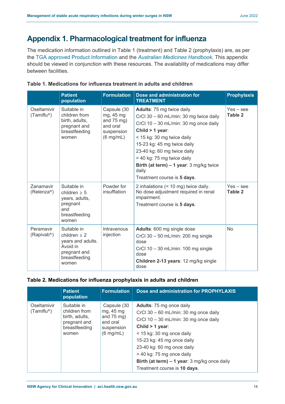# <span id="page-14-3"></span><span id="page-14-0"></span>**Appendix 1. Pharmacological treatment for influenza**

The medication information outlined in Table 1 (treatment) and Table 2 (prophylaxis) are, as per the [TGA approved Product Information](https://www.ebs.tga.gov.au/ebs/picmi/picmirepository.nsf/pdf?OpenAgent&id=CP-2012-PI-02051-3&d=20220608172310101) and the *[Australian Medicines Handbook](https://amhonline.amh.net.au.acs.hcn.com.au/)*. This appendix should be viewed in conjunction with these resources. The availability of medications may differ between facilities.

|                                           | <b>Patient</b><br>population                                                                             | <b>Formulation</b>                                                                        | Dose and administration for<br><b>TREATMENT</b>                                                                                                                                                                                                                                                                                                  | <b>Prophylaxis</b>     |
|-------------------------------------------|----------------------------------------------------------------------------------------------------------|-------------------------------------------------------------------------------------------|--------------------------------------------------------------------------------------------------------------------------------------------------------------------------------------------------------------------------------------------------------------------------------------------------------------------------------------------------|------------------------|
| Oseltamivir<br>$(Tamiflu^{\circledcirc})$ | Suitable in<br>children from<br>birth, adults,<br>pregnant and<br>breastfeeding<br>women                 | Capsule (30<br>mg, 45 mg<br>and $75$ mg)<br>and oral<br>suspension<br>$(6 \text{ mg/mL})$ | Adults: 75 mg twice daily<br>CrCl 30 - 60 mL/min: 30 mg twice daily<br>CrCl $10 - 30$ mL/min: 30 mg once daily<br>Child $> 1$ year:<br>< 15 kg: 30 mg twice daily<br>15-23 kg: 45 mg twice daily<br>23-40 kg: 60 mg twice daily<br>> 40 kg: 75 mg twice daily<br>Birth (at term) - 1 year: 3 mg/kg twice<br>daily<br>Treatment course is 5 days. | $Yes - see$<br>Table 2 |
| Zanamavir<br>(Relenza <sup>®</sup> )      | Suitable in<br>children $\geq 5$<br>years, adults,<br>pregnant<br>and<br>breastfeeding<br>women          | Powder for<br>insufflation                                                                | 2 inhalations (= 10 mg) twice daily.<br>No dose adjustment required in renal<br>impairment.<br>Treatment course is 5 days.                                                                                                                                                                                                                       | $Yes - see$<br>Table 2 |
| Peramavir<br>(Rapivab <sup>®</sup> )      | Suitable in<br>children $> 2$<br>years and adults.<br>Avoid in<br>pregnant and<br>breastfeeding<br>women | Intravenous<br>injection                                                                  | Adults: 600 mg single dose<br>CrCl $30 - 50$ mL/min: 200 mg single<br>dose<br>CrCl $10 - 30$ mL/min: 100 mg single<br>dose<br>Children 2-13 years: 12 mg/kg single<br>dose                                                                                                                                                                       | <b>No</b>              |

## <span id="page-14-1"></span>**Table 1. Medications for influenza treatment in adults and children**

#### <span id="page-14-2"></span>**Table 2. Medications for influenza prophylaxis in adults and children**

|                                    | <b>Patient</b><br>population                                                             | <b>Formulation</b>                                                                                 | Dose and administration for PROPHYLAXIS                                                                                                                                                                                                                                                                                                      |
|------------------------------------|------------------------------------------------------------------------------------------|----------------------------------------------------------------------------------------------------|----------------------------------------------------------------------------------------------------------------------------------------------------------------------------------------------------------------------------------------------------------------------------------------------------------------------------------------------|
| Oseltamivir<br>$(Tamiflu^{\circ})$ | Suitable in<br>children from<br>birth, adults,<br>pregnant and<br>breastfeeding<br>women | Capsule (30<br>mg, 45 mg<br>and $75 \text{ mg}$ )<br>and oral<br>suspension<br>$(6 \text{ mg/mL})$ | Adults: 75 mg once daily<br>CrCl $30 - 60$ mL/min: 30 mg once daily<br>CrCl $10 - 30$ mL/min: 30 mg once daily<br>Child $> 1$ year:<br>$<$ 15 kg: 30 mg once daily<br>15-23 kg: 45 mg once daily<br>23-40 kg: 60 mg once daily<br>> 40 kg: 75 mg once daily<br>Birth (at term) $-1$ year: 3 mg/kg once daily<br>Treatment course is 10 days. |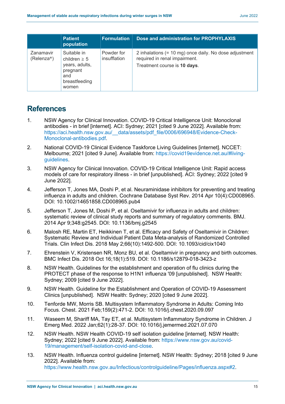|                         | <b>Patient</b><br>population                                                                    | <b>Formulation</b>         | Dose and administration for PROPHYLAXIS                                                                                 |
|-------------------------|-------------------------------------------------------------------------------------------------|----------------------------|-------------------------------------------------------------------------------------------------------------------------|
| Zanamavir<br>(Relenza®) | Suitable in<br>children $\geq 5$<br>years, adults,<br>pregnant<br>and<br>breastfeeding<br>women | Powder for<br>insufflation | 2 inhalations (= 10 mg) once daily. No dose adjustment<br>required in renal impairment.<br>Treatment course is 10 days. |

# **References**

- 1. NSW Agency for Clinical Innovation. COVID-19 Critical Intelligence Unit: Monoclonal antibodies - in brief [internet]. ACI: Sydney; 2021 [cited 9 June 2022]. Available from: [https://aci.health.nsw.gov.au/\\_\\_data/assets/pdf\\_file/0006/696948/Evidence-Check-](https://aci.health.nsw.gov.au/__data/assets/pdf_file/0006/696948/Evidence-Check-Monoclonal-antibodies.pdf)[Monoclonal-antibodies.pdf.](https://aci.health.nsw.gov.au/__data/assets/pdf_file/0006/696948/Evidence-Check-Monoclonal-antibodies.pdf)
- 2. National COVID-19 Clinical Evidence Taskforce Living Guidelines [internet]. NCCET: Melbourne; 2021 [cited 9 June]. Available from: [https://covid19evidence.net.au/#living](https://covid19evidence.net.au/#living-guidelines)[guidelines.](https://covid19evidence.net.au/#living-guidelines)
- 3. NSW Agency for Clinical Innovation. COVID-19 Critical Intelligence Unit: Rapid access models of care for respiratory illness - in brief [unpublished]. ACI: Sydney; 2022 [cited 9 June 2022].
- 4. Jefferson T, Jones MA, Doshi P, et al. Neuraminidase inhibitors for preventing and treating influenza in adults and children. Cochrane Database Syst Rev. 2014 Apr 10(4):CD008965. DOI: 10.1002/14651858.CD008965.pub4
- 5. Jefferson T, Jones M, Doshi P, et al. Oseltamivir for influenza in adults and children: systematic review of clinical study reports and summary of regulatory comments. BMJ. 2014 Apr 9;348:g2545. DOI: 10.1136/bmj.g2545
- 6. Malosh RE, Martin ET, Heikkinen T, et al. Efficacy and Safety of Oseltamivir in Children: Systematic Review and Individual Patient Data Meta-analysis of Randomized Controlled Trials. Clin Infect Dis. 2018 May 2;66(10):1492-500. DOI: 10.1093/cid/cix1040
- 7. Ehrenstein V, Kristensen NR, Monz BU, et al. Oseltamivir in pregnancy and birth outcomes. BMC Infect Dis. 2018 Oct 16;18(1):519. DOI: 10.1186/s12879-018-3423-z
- 8. NSW Health. Guidelines for the establishment and operation of flu clinics during the PROTECT phase of the response to H1N1 influenza '09 [unpublished]. NSW Health: Sydney; 2009 [cited 9 June 2022].
- 9. NSW Health. Guideline for the Establishment and Operation of COVID-19 Assessment Clinics [unpublished]. NSW Health: Sydney; 2020 [cited 9 June 2022].
- 10. Tenforde MW, Morris SB. Multisystem Inflammatory Syndrome in Adults: Coming Into Focus. Chest. 2021 Feb;159(2):471-2. DOI: 10.1016/j.chest.2020.09.097
- 11. Waseem M, Shariff MA, Tay ET, et al. Multisystem Inflammatory Syndrome in Children. J Emerg Med. 2022 Jan;62(1):28-37. DOI: 10.1016/j.jemermed.2021.07.070
- 12. NSW Health. NSW Health COVID-19 self isolation guideline [internet]. NSW Health: Sydney; 2022 [cited 9 June 2022]. Available from: [https://www.nsw.gov.au/covid-](https://www.nsw.gov.au/covid-19/management/self-isolation-covid-and-close)[19/management/self-isolation-covid-and-close.](https://www.nsw.gov.au/covid-19/management/self-isolation-covid-and-close)
- 13. NSW Health. Influenza control guideline [internet]. NSW Health: Sydney; 2018 [cited 9 June 2022]. Available from: [https://www.health.nsw.gov.au/Infectious/controlguideline/Pages/influenza.aspx#2.](https://www.health.nsw.gov.au/Infectious/controlguideline/Pages/influenza.aspx#2)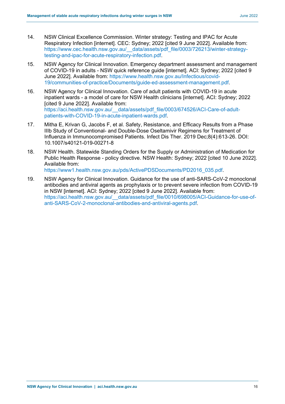- 14. NSW Clinical Excellence Commission. Winter strategy: Testing and IPAC for Acute Respiratory Infection [internet]. CEC: Sydney; 2022 [cited 9 June 2022]. Available from: [https://www.cec.health.nsw.gov.au/\\_\\_data/assets/pdf\\_file/0003/726213/winter-strategy](https://www.cec.health.nsw.gov.au/__data/assets/pdf_file/0003/726213/winter-strategy-testing-and-ipac-for-acute-respiratory-infection.pdf)[testing-and-ipac-for-acute-respiratory-infection.pdf.](https://www.cec.health.nsw.gov.au/__data/assets/pdf_file/0003/726213/winter-strategy-testing-and-ipac-for-acute-respiratory-infection.pdf)
- 15. NSW Agency for Clinical Innovation. Emergency department assessment and management of COVID-19 in adults - NSW quick reference guide [internet]. ACI: Sydney; 2022 [cited 9 June 2022]. Available from: [https://www.health.nsw.gov.au/Infectious/covid-](https://www.health.nsw.gov.au/Infectious/covid-19/communities-of-practice/Documents/guide-ed-assessment-management.pdf)[19/communities-of-practice/Documents/guide-ed-assessment-management.pdf.](https://www.health.nsw.gov.au/Infectious/covid-19/communities-of-practice/Documents/guide-ed-assessment-management.pdf)
- 16. NSW Agency for Clinical Innovation. Care of adult patients with COVID-19 in acute inpatient wards - a model of care for NSW Health clinicians [internet]. ACI: Sydney; 2022 [cited 9 June 2022]. Available from: https://aci.health.nsw.gov.au/ data/assets/pdf file/0003/674526/ACI-Care-of-adult[patients-with-COVID-19-in-acute-inpatient-wards.pdf.](https://aci.health.nsw.gov.au/__data/assets/pdf_file/0003/674526/ACI-Care-of-adult-patients-with-COVID-19-in-acute-inpatient-wards.pdf)
- 17. Mitha E, Krivan G, Jacobs F, et al. Safety, Resistance, and Efficacy Results from a Phase IIIb Study of Conventional- and Double-Dose Oseltamivir Regimens for Treatment of Influenza in Immunocompromised Patients. Infect Dis Ther. 2019 Dec;8(4):613-26. DOI: 10.1007/s40121-019-00271-8
- 18. NSW Health. Statewide Standing Orders for the Supply or Administration of Medication for Public Health Response - policy directive. NSW Health: Sydney; 2022 [cited 10 June 2022]. Available from:

[https://www1.health.nsw.gov.au/pds/ActivePDSDocuments/PD2016\\_035.pdf.](https://www1.health.nsw.gov.au/pds/ActivePDSDocuments/PD2016_035.pdf)

19. NSW Agency for Clinical Innovation. Guidance for the use of anti-SARS-CoV-2 monoclonal antibodies and antiviral agents as prophylaxis or to prevent severe infection from COVID-19 in NSW [internet]. ACI: Sydney; 2022 [cited 9 June 2022]. Available from: https://aci.health.nsw.gov.au/ data/assets/pdf file/0010/698005/ACI-Guidance-for-use-of[anti-SARS-CoV-2-monoclonal-antibodies-and-antiviral-agents.pdf.](https://aci.health.nsw.gov.au/__data/assets/pdf_file/0010/698005/ACI-Guidance-for-use-of-anti-SARS-CoV-2-monoclonal-antibodies-and-antiviral-agents.pdf)